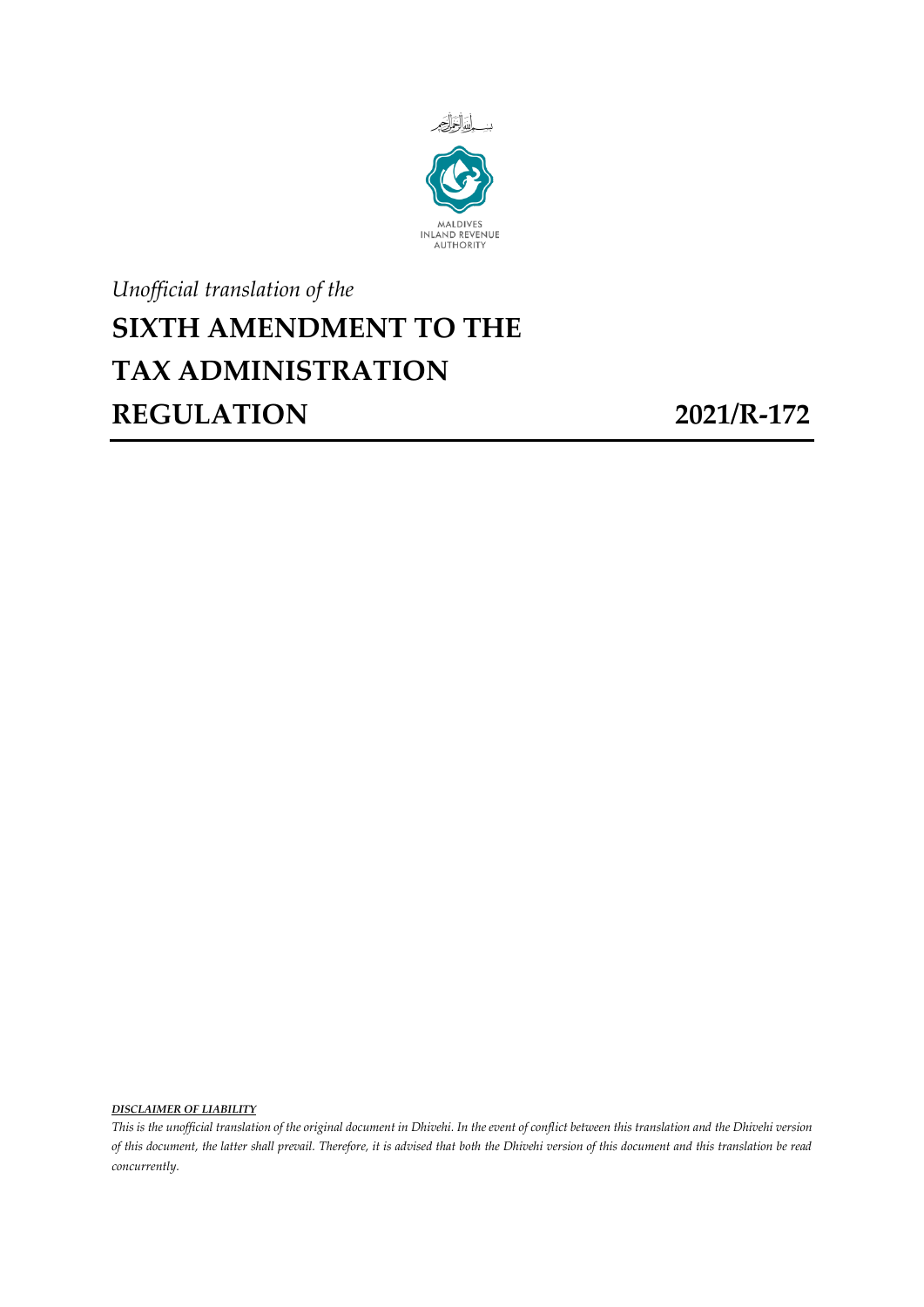

## *Unofficial translation of the* **SIXTH AMENDMENT TO THE TAX ADMINISTRATION REGULATION 2021/R-172**

*DISCLAIMER OF LIABILITY*

*This is the unofficial translation of the original document in Dhivehi. In the event of conflict between this translation and the Dhivehi version of this document, the latter shall prevail. Therefore, it is advised that both the Dhivehi version of this document and this translation be read concurrently.*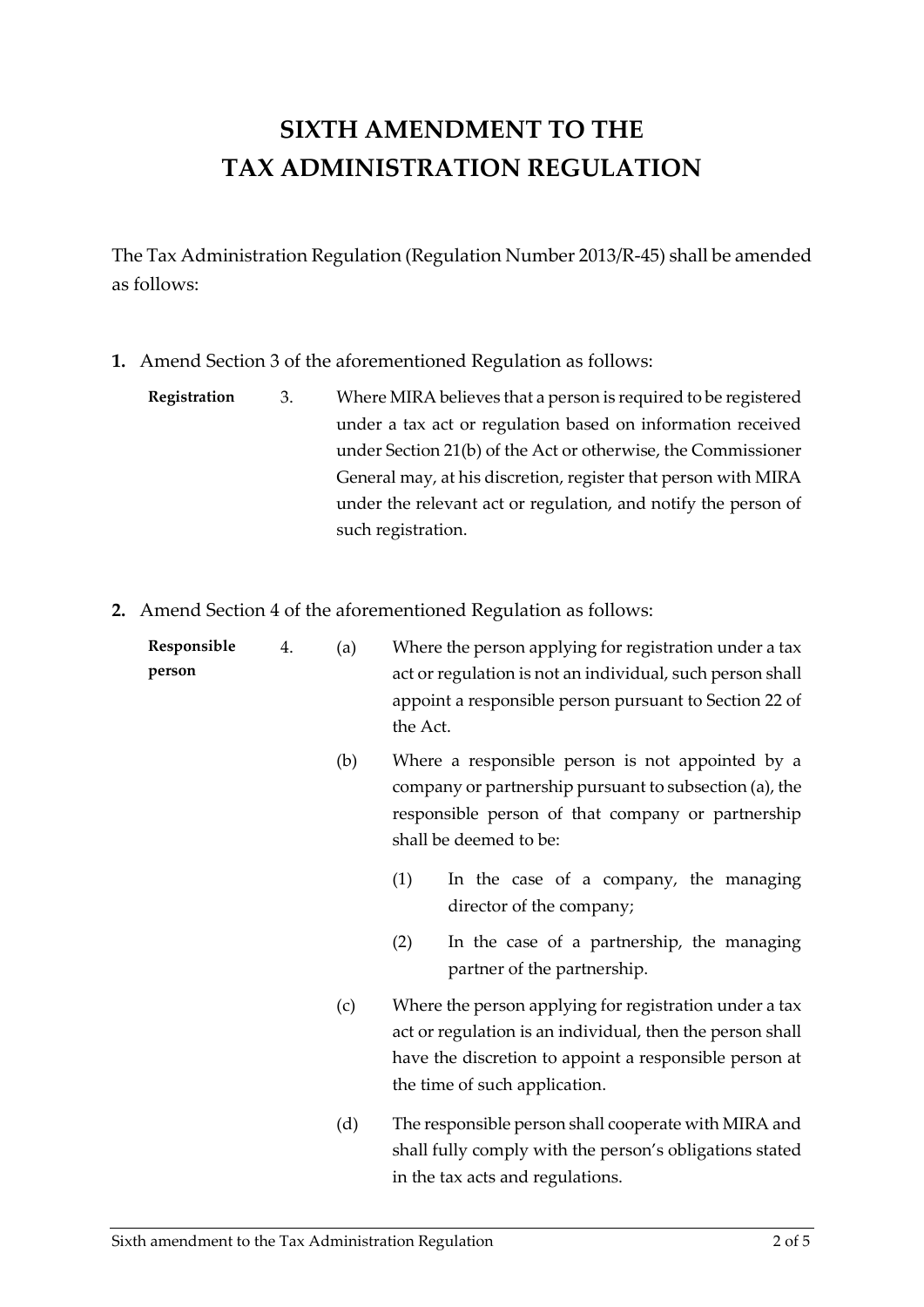## **SIXTH AMENDMENT TO THE TAX ADMINISTRATION REGULATION**

The Tax Administration Regulation (Regulation Number 2013/R-45) shall be amended as follows:

- **1.** Amend Section 3 of the aforementioned Regulation as follows:
	- **Registration** 3. Where MIRA believes that a person is required to be registered under a tax act or regulation based on information received under Section 21(b) of the Act or otherwise, the Commissioner General may, at his discretion, register that person with MIRA under the relevant act or regulation, and notify the person of such registration.
- **2.** Amend Section 4 of the aforementioned Regulation as follows:

| Responsible<br>person | 4. | (a) | Where the person applying for registration under a tax<br>act or regulation is not an individual, such person shall<br>appoint a responsible person pursuant to Section 22 of<br>the Act.                      |
|-----------------------|----|-----|----------------------------------------------------------------------------------------------------------------------------------------------------------------------------------------------------------------|
|                       |    | (b) | Where a responsible person is not appointed by a<br>company or partnership pursuant to subsection (a), the<br>responsible person of that company or partnership<br>shall be deemed to be:                      |
|                       |    |     | (1)<br>In the case of a company, the managing<br>director of the company;                                                                                                                                      |
|                       |    |     | (2)<br>In the case of a partnership, the managing<br>partner of the partnership.                                                                                                                               |
|                       |    | (c) | Where the person applying for registration under a tax<br>act or regulation is an individual, then the person shall<br>have the discretion to appoint a responsible person at<br>the time of such application. |
|                       |    | (d) | The responsible person shall cooperate with MIRA and<br>shall fully comply with the person's obligations stated                                                                                                |

in the tax acts and regulations.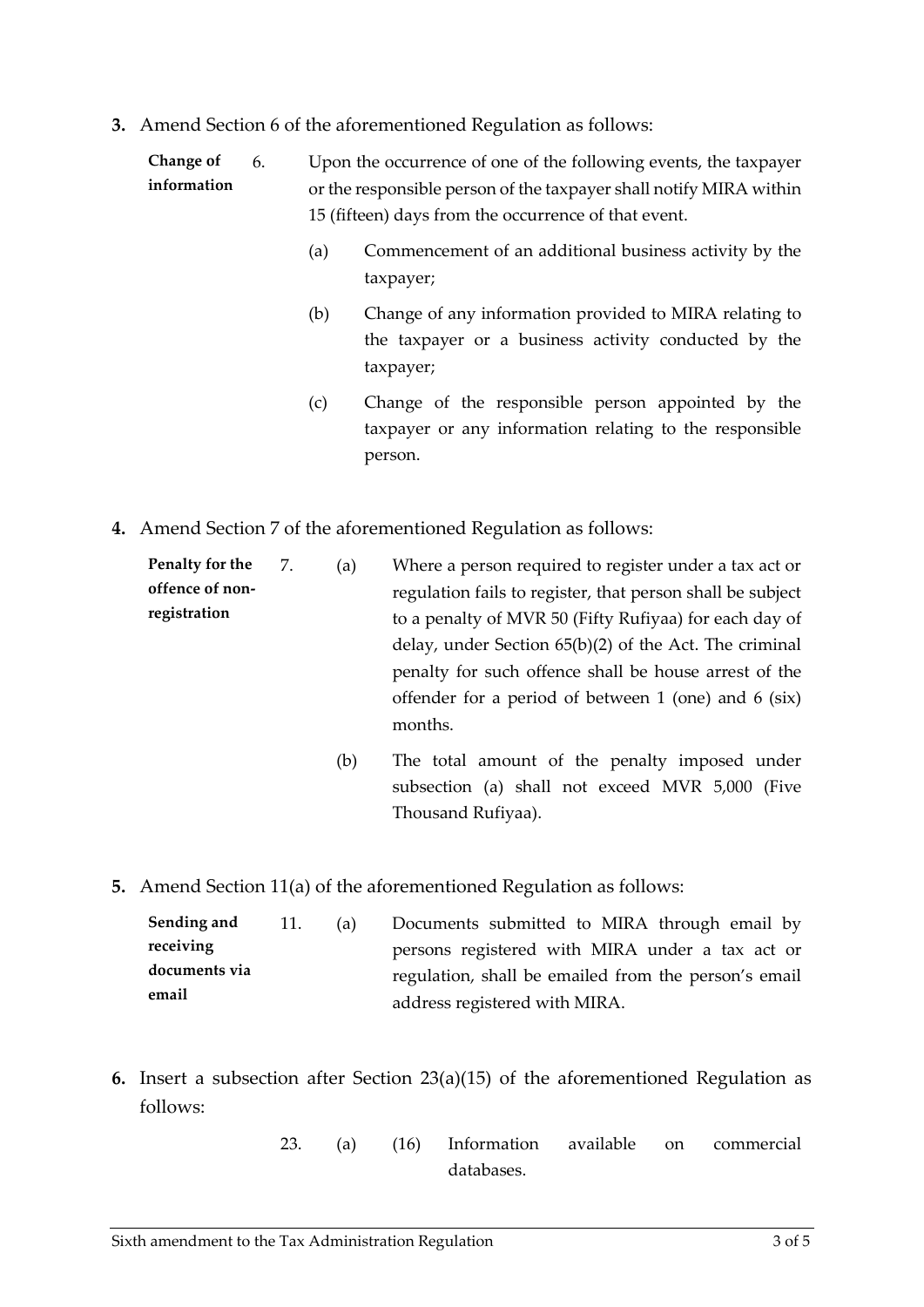**3.** Amend Section 6 of the aforementioned Regulation as follows:

| Change of   | 6. | Upon the occurrence of one of the following events, the taxpayer   |
|-------------|----|--------------------------------------------------------------------|
| information |    | or the responsible person of the taxpayer shall notify MIRA within |
|             |    | 15 (fifteen) days from the occurrence of that event.               |

- (a) Commencement of an additional business activity by the taxpayer;
- (b) Change of any information provided to MIRA relating to the taxpayer or a business activity conducted by the taxpayer;
- (c) Change of the responsible person appointed by the taxpayer or any information relating to the responsible person.
- **4.** Amend Section 7 of the aforementioned Regulation as follows:

**Penalty for the offence of nonregistration** 7. (a) Where a person required to register under a tax act or regulation fails to register, that person shall be subject to a penalty of MVR 50 (Fifty Rufiyaa) for each day of delay, under Section 65(b)(2) of the Act. The criminal penalty for such offence shall be house arrest of the offender for a period of between 1 (one) and 6 (six) months.

- (b) The total amount of the penalty imposed under subsection (a) shall not exceed MVR 5,000 (Five Thousand Rufiyaa).
- **5.** Amend Section 11(a) of the aforementioned Regulation as follows:

| Sending and   | 11. | (a) | Documents submitted to MIRA through email by         |
|---------------|-----|-----|------------------------------------------------------|
| receiving     |     |     | persons registered with MIRA under a tax act or      |
| documents via |     |     | regulation, shall be emailed from the person's email |
| email         |     |     | address registered with MIRA.                        |

- **6.** Insert a subsection after Section 23(a)(15) of the aforementioned Regulation as follows:
	- 23. (a) (16) Information available on commercial databases.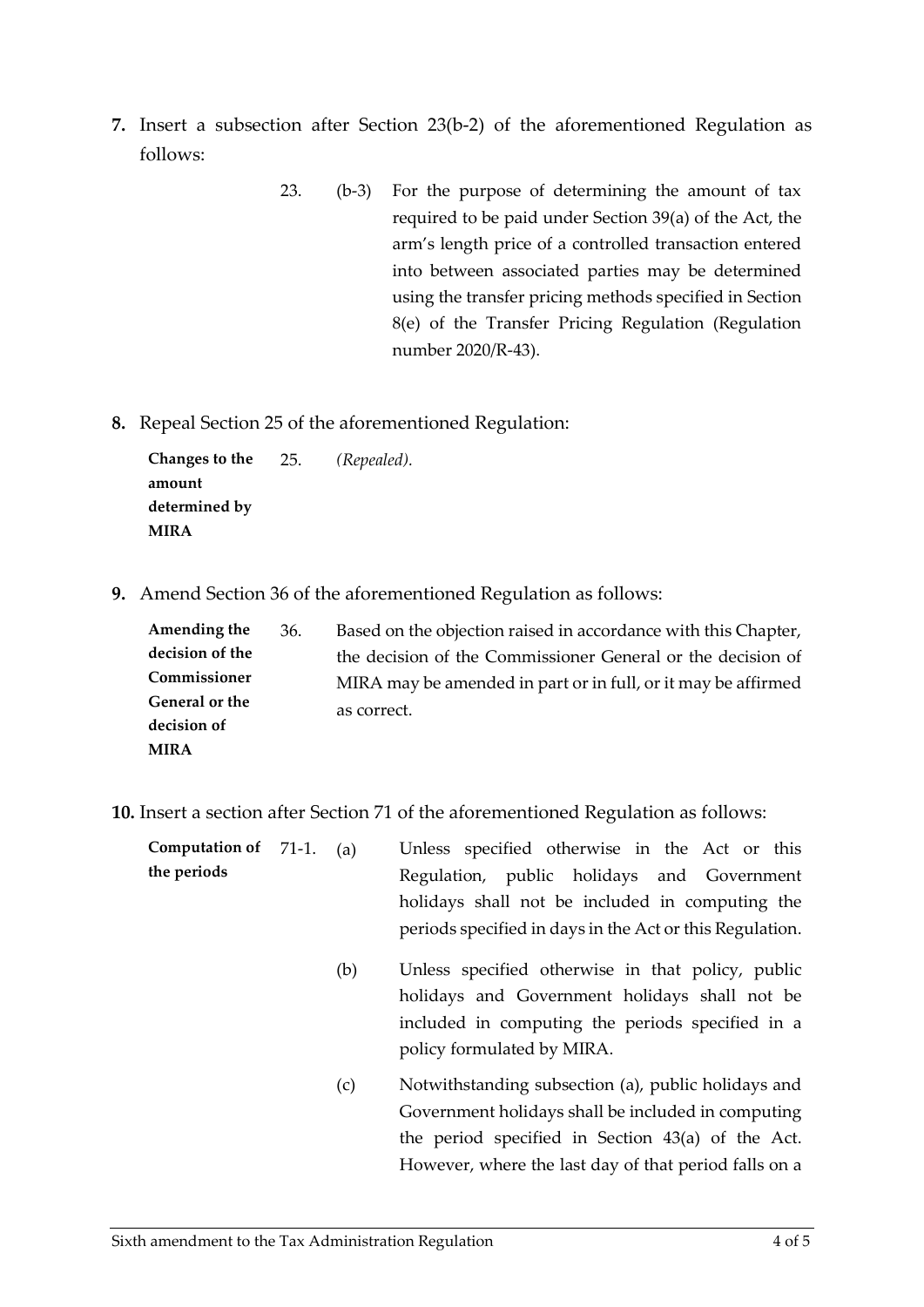- **7.** Insert a subsection after Section 23(b-2) of the aforementioned Regulation as follows:
	- 23. (b-3) For the purpose of determining the amount of tax required to be paid under Section 39(a) of the Act, the arm's length price of a controlled transaction entered into between associated parties may be determined using the transfer pricing methods specified in Section 8(e) of the Transfer Pricing Regulation (Regulation number 2020/R-43).
- **8.** Repeal Section 25 of the aforementioned Regulation:

**Changes to the amount determined by MIRA** 25. *(Repealed).*

**9.** Amend Section 36 of the aforementioned Regulation as follows:

| Amending the    | 36. | Based on the objection raised in accordance with this Chapter, |  |
|-----------------|-----|----------------------------------------------------------------|--|
| decision of the |     | the decision of the Commissioner General or the decision of    |  |
| Commissioner    |     | MIRA may be amended in part or in full, or it may be affirmed  |  |
| General or the  |     | as correct.                                                    |  |
| decision of     |     |                                                                |  |
| <b>MIRA</b>     |     |                                                                |  |

**10.** Insert a section after Section 71 of the aforementioned Regulation as follows:

| Computation of 71-1. |  | (a) | Unless specified otherwise in the Act or this            |
|----------------------|--|-----|----------------------------------------------------------|
| the periods          |  |     | Regulation, public holidays and Government               |
|                      |  |     | holidays shall not be included in computing the          |
|                      |  |     | periods specified in days in the Act or this Regulation. |
|                      |  | (b) | Unless specified otherwise in that policy, public        |
|                      |  |     | holidays and Government holidays shall not be            |
|                      |  |     | included in computing the periods specified in a         |
|                      |  |     | policy formulated by MIRA.                               |
|                      |  | (c) | Notwithstanding subsection (a), public holidays and      |
|                      |  |     | Government holidays shall be included in computing       |
|                      |  |     | the period specified in Section 43(a) of the Act.        |
|                      |  |     | However, where the last day of that period falls on a    |